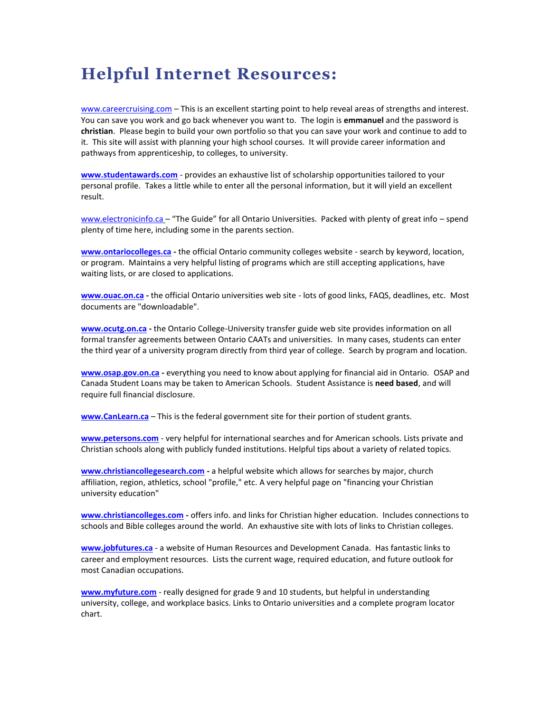## **Helpful Internet Resources:**

[www.careercruising.com](http://www.careercruising.com/) - This is an excellent starting point to help reveal areas of strengths and interest. You can save you work and go back whenever you want to. The login is **emmanuel** and the password is **christian**. Please begin to build your own portfolio so that you can save your work and continue to add to it. This site will assist with planning your high school courses. It will provide career information and pathways from apprenticeship, to colleges, to university.

**[www.studentawards.com](http://www.studentawards.com/)** - provides an exhaustive list of scholarship opportunities tailored to your personal profile. Takes a little while to enter all the personal information, but it will yield an excellent result.

[www.electronicinfo.ca](http://www.electronicinfo.ca/) – "The Guide" for all Ontario Universities. Packed with plenty of great info – spend plenty of time here, including some in the parents section.

**[www.ontariocolleges.ca](http://www.ontariocolleges.ca/) -** the official Ontario community colleges website - search by keyword, location, or program. Maintains a very helpful listing of programs which are still accepting applications, have waiting lists, or are closed to applications.

**[www.ouac.on.ca](http://www.ouac.on.ca/) -** the official Ontario universities web site - lots of good links, FAQS, deadlines, etc. Most documents are "downloadable".

**[www.ocutg.on.ca](http://www.ocutg.on.ca/) -** the Ontario College-University transfer guide web site provides information on all formal transfer agreements between Ontario CAATs and universities. In many cases, students can enter the third year of a university program directly from third year of college. Search by program and location.

**[www.osap.gov.on.ca](http://www.osap.gov.on.ca/) -** everything you need to know about applying for financial aid in Ontario. OSAP and Canada Student Loans may be taken to American Schools. Student Assistance is **need based**, and will require full financial disclosure.

**[www.CanLearn.ca](http://www.canlearn.ca/)** – This is the federal government site for their portion of student grants.

**[www.petersons.com](http://www.petersons.com/)** - very helpful for international searches and for American schools. Lists private and Christian schools along with publicly funded institutions. Helpful tips about a variety of related topics.

**[www.christiancollegesearch.com](http://www.christiancollegesearch.com/) -** a helpful website which allows for searches by major, church affiliation, region, athletics, school "profile," etc. A very helpful page on "financing your Christian university education"

**[www.christiancolleges.com](http://www.christiancolleges.com/) -** offers info. and links for Christian higher education. Includes connections to schools and Bible colleges around the world. An exhaustive site with lots of links to Christian colleges.

**[www.jobfutures.ca](http://www.jobfutures.ca/)** - a website of Human Resources and Development Canada. Has fantastic links to career and employment resources. Lists the current wage, required education, and future outlook for most Canadian occupations.

**[www.myfuture.com](http://www.myfuture.com/)** - really designed for grade 9 and 10 students, but helpful in understanding university, college, and workplace basics. Links to Ontario universities and a complete program locator chart.